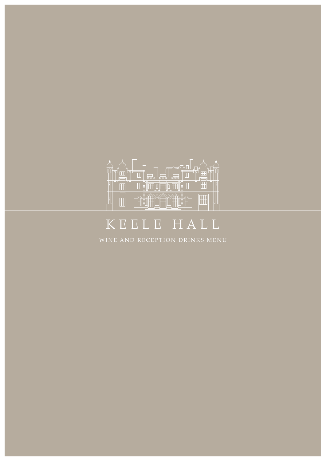

# KEELE HALL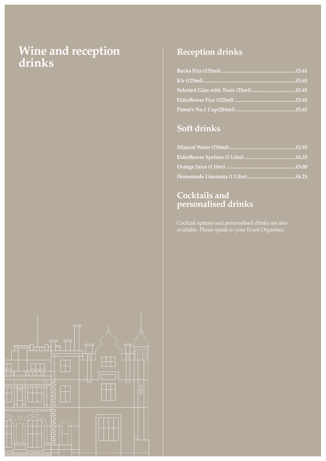## **Wine and reception drinks**



## **Reception drinks**

## **Soft drinks**

#### **Cocktails and personalised drinks**

Cocktail options and personalised drinks are also available. Please speak to your Event Organiser.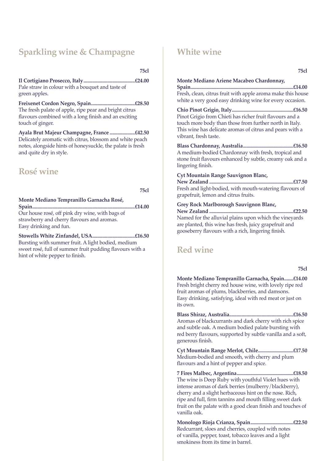### **Sparkling wine & Champagne**

**75cl**

**Il Cortigiano Prosecco, Italy.........................................£24.00** Pale straw in colour with a bouquet and taste of green apples.

**Freixenet Cordon Negro, Spain...................................£28.50** The fresh palate of apple, ripe pear and bright citrus flavours combined with a long finish and an exciting touch of ginger.

**Ayala Brut Majeur Champagne, France ....................£42.50** Delicately aromatic with citrus, blossom and white peach notes, alongside hints of honeysuckle, the palate is fresh and quite dry in style.

#### **Rosé wine**

**75cl**

**Monte Mediano Tempranillo Garnacha Rosé, Spain..................................................................................£14.00** Our house rosé, off pink dry wine, with bags of strawberry and cherry flavours and aromas. Easy drinking and fun.

**Stowells White Zinfandel, USA..................................£16.50** Bursting with summer fruit. A light bodied, medium sweet rosé, full of summer fruit pudding flavours with a hint of white pepper to finish.

#### **White wine**

**75cl**

#### **Monte Mediano Ariene Macabeo Chardonnay,**

**Spain..................................................................................£14.00** Fresh, clean, citrus fruit with apple aroma make this house white a very good easy drinking wine for every occasion.

**Chio Pinot Grigio, Italy.................................................£16.50** Pinot Grigio from Chieti has richer fruit flavours and a touch more body than those from further north in Italy. This wine has delicate aromas of citrus and pears with a vibrant, fresh taste.

**Blass Chardonnay, Australia........................................£16.50** A medium-bodied Chardonnay with fresh, tropical and stone fruit flavours enhanced by subtle, creamy oak and a lingering finish.

#### **Cyt Mountain Range Sauvignon Blanc,**

**New Zealand ...................................................................£17.50** Fresh and light-bodied, with mouth-watering flavours of grapefruit, lemon and citrus fruits.

#### **Grey Rock Marlborough Sauvignon Blanc,**

**New Zealand ...................................................................£22.50** Named for the alluvial plains upon which the vineyards are planted, this wine has fresh, juicy grapefruit and gooseberry flavours with a rich, lingering finish.

#### **Red wine**

| v  |   |
|----|---|
|    |   |
| ۰. |   |
| ۰. |   |
|    | × |
| v  |   |
|    |   |
|    |   |

**Monte Mediano Tempranillo Garnacha, Spain.......£14.00** Fresh bright cherry red house wine, with lovely ripe red fruit aromas of plums, blackberries, and damsons. Easy drinking, satisfying, ideal with red meat or just on its own.

**Blass Shiraz, Australia...................................................£16.50** Aromas of blackcurrants and dark cherry with rich spice and subtle oak. A medium bodied palate bursting with red berry flavours, supported by subtle vanilla and a soft, generous finish.

**Cyt Mountain Range Merlot, Chile............................£17.50** Medium-bodied and smooth, with cherry and plum flavours and a hint of pepper and spice.

**7 Fires Malbec, Argentina.............................................£18.50** The wine is Deep Ruby with youthful Violet hues with intense aromas of dark berries (mulberry/blackberry), cherry and a slight herbaceous hint on the nose. Rich, ripe and full, firm tannins and mouth filling sweet dark fruit on the palate with a good clean finish and touches of vanilla oak.

**Monologo Rioja Crianza, Spain..................................£22.50** Redcurrant, sloes and cherries, coupled with notes of vanilla, pepper, toast, tobacco leaves and a light smokiness from its time in barrel.